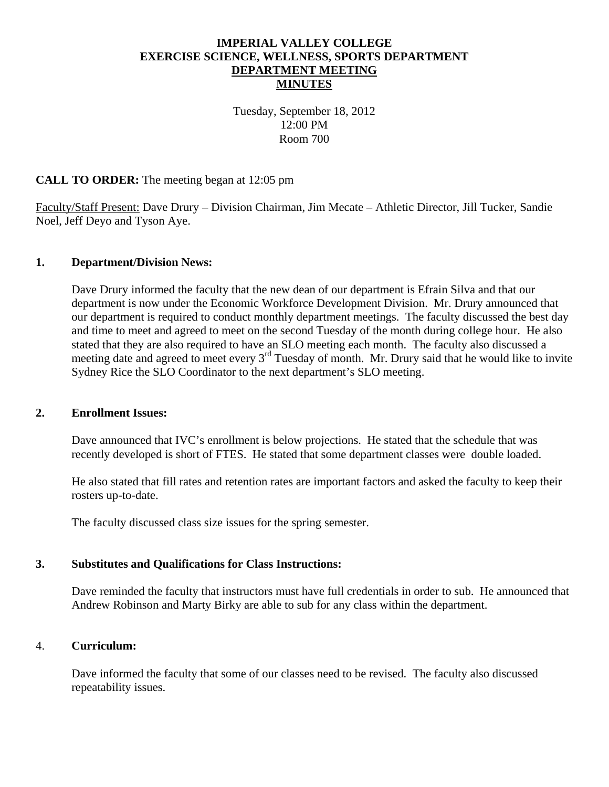# **IMPERIAL VALLEY COLLEGE EXERCISE SCIENCE, WELLNESS, SPORTS DEPARTMENT DEPARTMENT MEETING MINUTES**

Tuesday, September 18, 2012 12:00 PM Room 700

### **CALL TO ORDER:** The meeting began at 12:05 pm

Faculty/Staff Present: Dave Drury – Division Chairman, Jim Mecate – Athletic Director, Jill Tucker, Sandie Noel, Jeff Deyo and Tyson Aye.

### **1. Department/Division News:**

Dave Drury informed the faculty that the new dean of our department is Efrain Silva and that our department is now under the Economic Workforce Development Division. Mr. Drury announced that our department is required to conduct monthly department meetings. The faculty discussed the best day and time to meet and agreed to meet on the second Tuesday of the month during college hour. He also stated that they are also required to have an SLO meeting each month. The faculty also discussed a meeting date and agreed to meet every  $3<sup>rd</sup>$  Tuesday of month. Mr. Drury said that he would like to invite Sydney Rice the SLO Coordinator to the next department's SLO meeting.

#### **2. Enrollment Issues:**

Dave announced that IVC's enrollment is below projections. He stated that the schedule that was recently developed is short of FTES. He stated that some department classes were double loaded.

He also stated that fill rates and retention rates are important factors and asked the faculty to keep their rosters up-to-date.

The faculty discussed class size issues for the spring semester.

### **3. Substitutes and Qualifications for Class Instructions:**

Dave reminded the faculty that instructors must have full credentials in order to sub. He announced that Andrew Robinson and Marty Birky are able to sub for any class within the department.

### 4. **Curriculum:**

Dave informed the faculty that some of our classes need to be revised. The faculty also discussed repeatability issues.